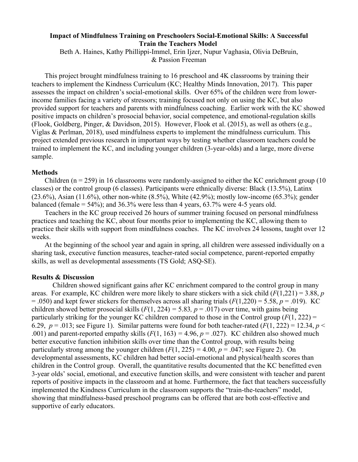## **Impact of Mindfulness Training on Preschoolers Social-Emotional Skills: A Successful Train the Teachers Model**

Beth A. Haines, Kathy Phillippi-Immel, Erin Ijzer, Nupur Vaghasia, Olivia DeBruin, & Passion Freeman

This project brought mindfulness training to 16 preschool and 4K classrooms by training their teachers to implement the Kindness Curriculum (KC; Healthy Minds Innovation, 2017). This paper assesses the impact on children's social-emotional skills. Over 65% of the children were from lowerincome families facing a variety of stressors; training focused not only on using the KC, but also provided support for teachers and parents with mindfulness coaching. Earlier work with the KC showed positive impacts on children's prosocial behavior, social competence, and emotional-regulation skills (Flook, Goldberg, Pinger, & Davidson, 2015). However, Flook et al. (2015), as well as others (e.g., Viglas & Perlman, 2018), used mindfulness experts to implement the mindfulness curriculum. This project extended previous research in important ways by testing whether classroom teachers could be trained to implement the KC, and including younger children (3-year-olds) and a large, more diverse sample.

## **Methods**

Children ( $n = 259$ ) in 16 classrooms were randomly-assigned to either the KC enrichment group (10) classes) or the control group (6 classes). Participants were ethnically diverse: Black (13.5%), Latinx  $(23.6\%)$ , Asian  $(11.6\%)$ , other non-white  $(8.5\%)$ , White  $(42.9\%)$ ; mostly low-income  $(65.3\%)$ ; gender balanced (female  $= 54\%$ ); and 36.3% were less than 4 years, 63.7% were 4-5 years old.

Teachers in the KC group received 26 hours of summer training focused on personal mindfulness practices and teaching the KC, about four months prior to implementing the KC, allowing them to practice their skills with support from mindfulness coaches. The KC involves 24 lessons, taught over 12 weeks.

At the beginning of the school year and again in spring, all children were assessed individually on a sharing task, executive function measures, teacher-rated social competence, parent-reported empathy skills, as well as developmental assessments (TS Gold; ASQ-SE).

## **Results & Discussion**

Children showed significant gains after KC enrichment compared to the control group in many areas. For example, KC children were more likely to share stickers with a sick child (*F*(1,221) = 3.88, *p*  $=$  .050) and kept fewer stickers for themselves across all sharing trials  $(F(1,220) = 5.58, p = .019)$ . KC children showed better prosocial skills  $(F(1, 224) = 5.83, p = .017)$  over time, with gains being particularly striking for the younger KC children compared to those in the Control group (*F*(1, 222) = 6.29,  $p = .013$ ; see Figure 1). Similar patterns were found for both teacher-rated ( $F(1, 222) = 12.34$ ,  $p <$ .001) and parent-reported empathy skills  $(F(1, 163) = 4.96, p = .027)$ . KC children also showed much better executive function inhibition skills over time than the Control group, with results being particularly strong among the younger children  $(F(1, 225) = 4.00, p = .047$ ; see Figure 2). On developmental assessments, KC children had better social-emotional and physical/health scores than children in the Control group. Overall, the quantitative results documented that the KC benefitted even 3-year olds' social, emotional, and executive function skills, and were consistent with teacher and parent reports of positive impacts in the classroom and at home. Furthermore, the fact that teachers successfully implemented the Kindness Curriculum in the classroom supports the "train-the-teachers" model, showing that mindfulness-based preschool programs can be offered that are both cost-effective and supportive of early educators.